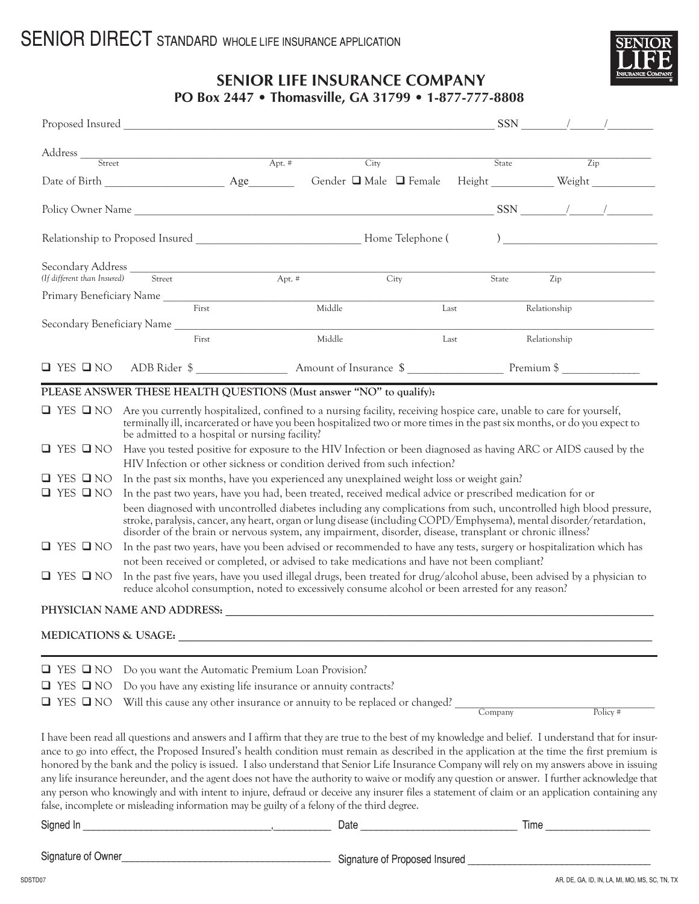

## **SENIOR LIFE INSURANCE COMPANY**

|                                 |                                                                                                                                                                                                                                                                                                                                                                                                                                                                                                                                                                                                                                                                                                                                                                                                                                                 |  |                                 |      |         | $SSN$ / /                                   |                            |  |  |
|---------------------------------|-------------------------------------------------------------------------------------------------------------------------------------------------------------------------------------------------------------------------------------------------------------------------------------------------------------------------------------------------------------------------------------------------------------------------------------------------------------------------------------------------------------------------------------------------------------------------------------------------------------------------------------------------------------------------------------------------------------------------------------------------------------------------------------------------------------------------------------------------|--|---------------------------------|------|---------|---------------------------------------------|----------------------------|--|--|
|                                 |                                                                                                                                                                                                                                                                                                                                                                                                                                                                                                                                                                                                                                                                                                                                                                                                                                                 |  |                                 |      | State   |                                             | Zip                        |  |  |
|                                 |                                                                                                                                                                                                                                                                                                                                                                                                                                                                                                                                                                                                                                                                                                                                                                                                                                                 |  | City                            |      |         |                                             |                            |  |  |
|                                 |                                                                                                                                                                                                                                                                                                                                                                                                                                                                                                                                                                                                                                                                                                                                                                                                                                                 |  |                                 |      |         |                                             |                            |  |  |
|                                 | Policy Owner Name                                                                                                                                                                                                                                                                                                                                                                                                                                                                                                                                                                                                                                                                                                                                                                                                                               |  |                                 |      |         | $\frac{\text{SSN}}{2}$ $\frac{1}{\sqrt{2}}$ |                            |  |  |
|                                 |                                                                                                                                                                                                                                                                                                                                                                                                                                                                                                                                                                                                                                                                                                                                                                                                                                                 |  |                                 |      |         |                                             | ) $\overline{\phantom{a}}$ |  |  |
|                                 |                                                                                                                                                                                                                                                                                                                                                                                                                                                                                                                                                                                                                                                                                                                                                                                                                                                 |  |                                 | City | State   | Zip                                         |                            |  |  |
|                                 | Primary Beneficiary Name                                                                                                                                                                                                                                                                                                                                                                                                                                                                                                                                                                                                                                                                                                                                                                                                                        |  |                                 |      |         |                                             |                            |  |  |
|                                 | First                                                                                                                                                                                                                                                                                                                                                                                                                                                                                                                                                                                                                                                                                                                                                                                                                                           |  | Middle                          |      | Last    | Relationship                                |                            |  |  |
|                                 | Secondary Beneficiary Name                                                                                                                                                                                                                                                                                                                                                                                                                                                                                                                                                                                                                                                                                                                                                                                                                      |  |                                 |      |         |                                             |                            |  |  |
|                                 | First                                                                                                                                                                                                                                                                                                                                                                                                                                                                                                                                                                                                                                                                                                                                                                                                                                           |  | Middle                          |      | Last    | Relationship                                |                            |  |  |
|                                 |                                                                                                                                                                                                                                                                                                                                                                                                                                                                                                                                                                                                                                                                                                                                                                                                                                                 |  |                                 |      |         |                                             |                            |  |  |
|                                 | PLEASE ANSWER THESE HEALTH QUESTIONS (Must answer "NO" to qualify):                                                                                                                                                                                                                                                                                                                                                                                                                                                                                                                                                                                                                                                                                                                                                                             |  |                                 |      |         |                                             |                            |  |  |
|                                 | $\Box$ YES $\Box$ NO Are you currently hospitalized, confined to a nursing facility, receiving hospice care, unable to care for yourself,<br>terminally ill, incarcerated or have you been hospitalized two or more times in the past six months, or do you expect to<br>be admitted to a hospital or nursing facility?                                                                                                                                                                                                                                                                                                                                                                                                                                                                                                                         |  |                                 |      |         |                                             |                            |  |  |
| $\Box$ YES $\Box$ NO            | Have you tested positive for exposure to the HIV Infection or been diagnosed as having ARC or AIDS caused by the<br>HIV Infection or other sickness or condition derived from such infection?                                                                                                                                                                                                                                                                                                                                                                                                                                                                                                                                                                                                                                                   |  |                                 |      |         |                                             |                            |  |  |
| $\Box$ YES $\Box$ NO            | In the past six months, have you experienced any unexplained weight loss or weight gain?                                                                                                                                                                                                                                                                                                                                                                                                                                                                                                                                                                                                                                                                                                                                                        |  |                                 |      |         |                                             |                            |  |  |
| $\Box$ YES $\Box$ NO            | In the past two years, have you had, been treated, received medical advice or prescribed medication for or                                                                                                                                                                                                                                                                                                                                                                                                                                                                                                                                                                                                                                                                                                                                      |  |                                 |      |         |                                             |                            |  |  |
|                                 | been diagnosed with uncontrolled diabetes including any complications from such, uncontrolled high blood pressure,<br>stroke, paralysis, cancer, any heart, organ or lung disease (including COPD/Emphysema), mental disorder/retardation,<br>disorder of the brain or nervous system, any impairment, disorder, disease, transplant or chronic illness?                                                                                                                                                                                                                                                                                                                                                                                                                                                                                        |  |                                 |      |         |                                             |                            |  |  |
| $\Box$ YES $\Box$ NO            | In the past two years, have you been advised or recommended to have any tests, surgery or hospitalization which has                                                                                                                                                                                                                                                                                                                                                                                                                                                                                                                                                                                                                                                                                                                             |  |                                 |      |         |                                             |                            |  |  |
|                                 | not been received or completed, or advised to take medications and have not been compliant?                                                                                                                                                                                                                                                                                                                                                                                                                                                                                                                                                                                                                                                                                                                                                     |  |                                 |      |         |                                             |                            |  |  |
| $\Box$ YES $\Box$ NO            | In the past five years, have you used illegal drugs, been treated for drug/alcohol abuse, been advised by a physician to<br>reduce alcohol consumption, noted to excessively consume alcohol or been arrested for any reason?                                                                                                                                                                                                                                                                                                                                                                                                                                                                                                                                                                                                                   |  |                                 |      |         |                                             |                            |  |  |
|                                 | PHYSICIAN NAME AND ADDRESS: Universe of the state of the state of the state of the state of the state of the state of the state of the state of the state of the state of the state of the state of the state of the state of                                                                                                                                                                                                                                                                                                                                                                                                                                                                                                                                                                                                                   |  |                                 |      |         |                                             |                            |  |  |
| <b>MEDICATIONS &amp; USAGE:</b> |                                                                                                                                                                                                                                                                                                                                                                                                                                                                                                                                                                                                                                                                                                                                                                                                                                                 |  |                                 |      |         |                                             |                            |  |  |
|                                 |                                                                                                                                                                                                                                                                                                                                                                                                                                                                                                                                                                                                                                                                                                                                                                                                                                                 |  |                                 |      |         |                                             |                            |  |  |
| $\Box$ YES $\Box$ NO            | Do you want the Automatic Premium Loan Provision?                                                                                                                                                                                                                                                                                                                                                                                                                                                                                                                                                                                                                                                                                                                                                                                               |  |                                 |      |         |                                             |                            |  |  |
| $\Box$ YES $\Box$ NO            | Do you have any existing life insurance or annuity contracts?                                                                                                                                                                                                                                                                                                                                                                                                                                                                                                                                                                                                                                                                                                                                                                                   |  |                                 |      |         |                                             |                            |  |  |
| $\Box$ YES $\Box$ NO            | Will this cause any other insurance or annuity to be replaced or changed?                                                                                                                                                                                                                                                                                                                                                                                                                                                                                                                                                                                                                                                                                                                                                                       |  |                                 |      | Company |                                             | Policy#                    |  |  |
|                                 |                                                                                                                                                                                                                                                                                                                                                                                                                                                                                                                                                                                                                                                                                                                                                                                                                                                 |  |                                 |      |         |                                             |                            |  |  |
|                                 | I have been read all questions and answers and I affirm that they are true to the best of my knowledge and belief. I understand that for insur-<br>ance to go into effect, the Proposed Insured's health condition must remain as described in the application at the time the first premium is<br>honored by the bank and the policy is issued. I also understand that Senior Life Insurance Company will rely on my answers above in issuing<br>any life insurance hereunder, and the agent does not have the authority to waive or modify any question or answer. I further acknowledge that<br>any person who knowingly and with intent to injure, defraud or deceive any insurer files a statement of claim or an application containing any<br>false, incomplete or misleading information may be guilty of a felony of the third degree. |  |                                 |      |         |                                             |                            |  |  |
|                                 |                                                                                                                                                                                                                                                                                                                                                                                                                                                                                                                                                                                                                                                                                                                                                                                                                                                 |  |                                 |      |         |                                             |                            |  |  |
| Signature of Owner              |                                                                                                                                                                                                                                                                                                                                                                                                                                                                                                                                                                                                                                                                                                                                                                                                                                                 |  | - Signature of Proposed Insured |      |         |                                             |                            |  |  |